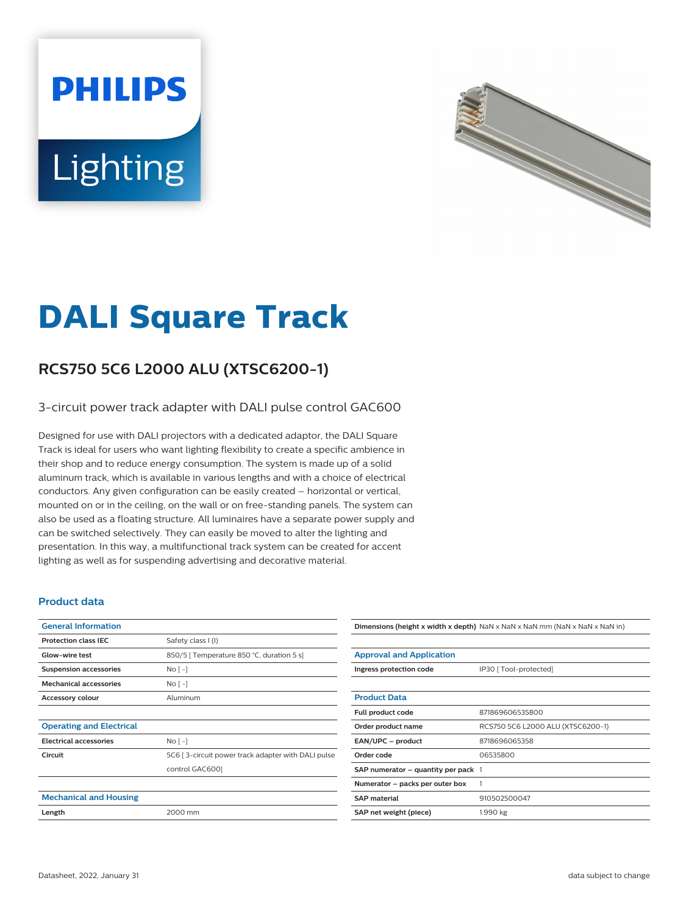# **PHILIPS** Lighting



# **DALI Square Track**

# **RCS750 5C6 L2000 ALU (XTSC6200-1)**

#### 3-circuit power track adapter with DALI pulse control GAC600

Designed for use with DALI projectors with a dedicated adaptor, the DALI Square Track is ideal for users who want lighting flexibility to create a specific ambience in their shop and to reduce energy consumption. The system is made up of a solid aluminum track, which is available in various lengths and with a choice of electrical conductors. Any given configuration can be easily created – horizontal or vertical, mounted on or in the ceiling, on the wall or on free-standing panels. The system can also be used as a floating structure. All luminaires have a separate power supply and can be switched selectively. They can easily be moved to alter the lighting and presentation. In this way, a multifunctional track system can be created for accent lighting as well as for suspending advertising and decorative material.

#### **Product data**

| <b>General Information</b>      |                                                    |
|---------------------------------|----------------------------------------------------|
| <b>Protection class IEC</b>     | Safety class I (I)                                 |
| Glow-wire test                  | 850/5   Temperature 850 °C, duration 5 s]          |
| <b>Suspension accessories</b>   | $No[-]$                                            |
| <b>Mechanical accessories</b>   | No <sub>1</sub>                                    |
| <b>Accessory colour</b>         | Aluminum                                           |
|                                 |                                                    |
| <b>Operating and Electrical</b> |                                                    |
| <b>Electrical accessories</b>   | No <sub>1</sub>                                    |
| Circuit                         | 5C6 [3-circuit power track adapter with DALI pulse |
|                                 | control GAC6001                                    |
|                                 |                                                    |
| <b>Mechanical and Housing</b>   |                                                    |
| Length                          | 2000 mm                                            |
|                                 |                                                    |

## **Dimensions (height x width x depth)** NaN x NaN x NaN mm (NaN x NaN x NaN in) **Approval and Application**

| Ingress protection code                 | IP30 [ Tool-protected]            |
|-----------------------------------------|-----------------------------------|
|                                         |                                   |
| <b>Product Data</b>                     |                                   |
| Full product code                       | 871869606535800                   |
| Order product name                      | RCS750 5C6 L2000 ALU (XTSC6200-1) |
| EAN/UPC - product                       | 8718696065358                     |
| Order code                              | 06535800                          |
| SAP numerator $-$ quantity per pack $1$ |                                   |
| Numerator - packs per outer box         | 1                                 |
| <b>SAP material</b>                     | 910502500047                      |
| SAP net weight (piece)                  | 1.990 kg                          |